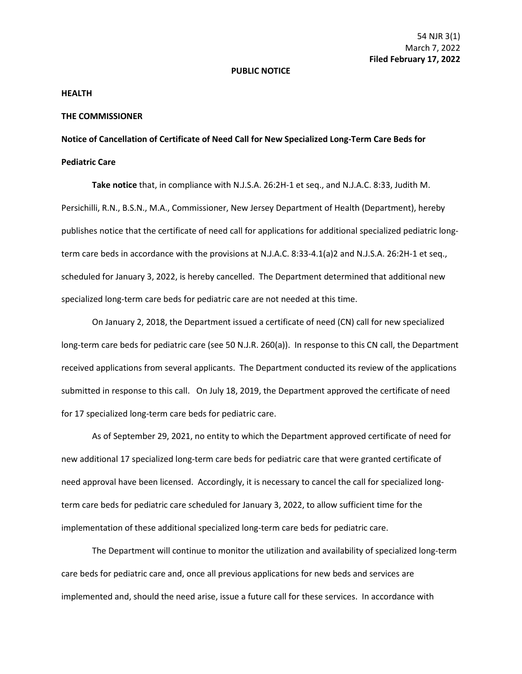## **PUBLIC NOTICE**

## **HEALTH**

## **THE COMMISSIONER**

**Notice of Cancellation of Certificate of Need Call for New Specialized Long-Term Care Beds for Pediatric Care**

**Take notice** that, in compliance with N.J.S.A. 26:2H-1 et seq., and N.J.A.C. 8:33, Judith M. Persichilli, R.N., B.S.N., M.A., Commissioner, New Jersey Department of Health (Department), hereby publishes notice that the certificate of need call for applications for additional specialized pediatric longterm care beds in accordance with the provisions at N.J.A.C. 8:33-4.1(a)2 and N.J.S.A. 26:2H-1 et seq., scheduled for January 3, 2022, is hereby cancelled. The Department determined that additional new specialized long-term care beds for pediatric care are not needed at this time.

On January 2, 2018, the Department issued a certificate of need (CN) call for new specialized long-term care beds for pediatric care (see 50 N.J.R. 260(a)). In response to this CN call, the Department received applications from several applicants. The Department conducted its review of the applications submitted in response to this call. On July 18, 2019, the Department approved the certificate of need for 17 specialized long-term care beds for pediatric care.

As of September 29, 2021, no entity to which the Department approved certificate of need for new additional 17 specialized long-term care beds for pediatric care that were granted certificate of need approval have been licensed. Accordingly, it is necessary to cancel the call for specialized longterm care beds for pediatric care scheduled for January 3, 2022, to allow sufficient time for the implementation of these additional specialized long-term care beds for pediatric care.

The Department will continue to monitor the utilization and availability of specialized long-term care beds for pediatric care and, once all previous applications for new beds and services are implemented and, should the need arise, issue a future call for these services. In accordance with